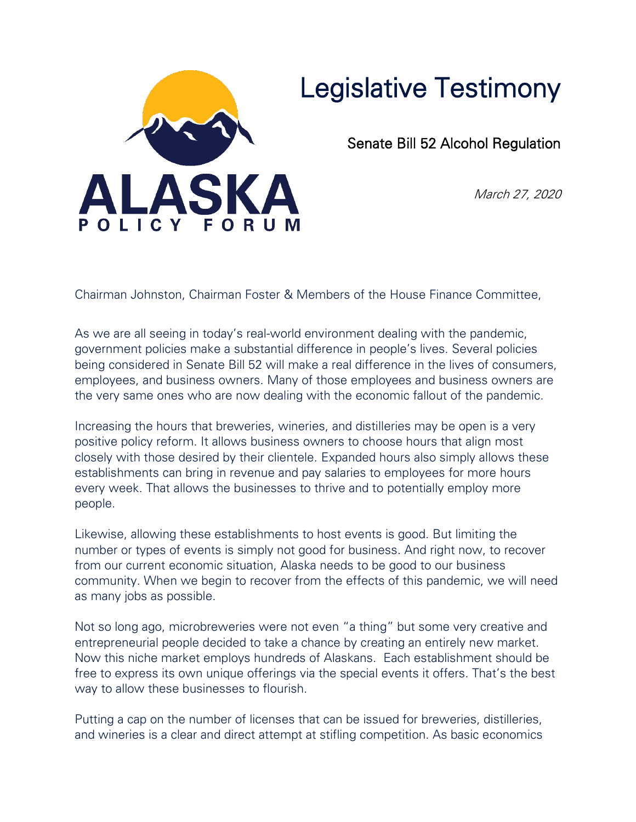

## Legislative Testimony

Senate Bill 52 Alcohol Regulation

March 27, 2020

Chairman Johnston, Chairman Foster & Members of the House Finance Committee,

As we are all seeing in today's real-world environment dealing with the pandemic, government policies make a substantial difference in people's lives. Several policies being considered in Senate Bill 52 will make a real difference in the lives of consumers, employees, and business owners. Many of those employees and business owners are the very same ones who are now dealing with the economic fallout of the pandemic.

Increasing the hours that breweries, wineries, and distilleries may be open is a very positive policy reform. It allows business owners to choose hours that align most closely with those desired by their clientele. Expanded hours also simply allows these establishments can bring in revenue and pay salaries to employees for more hours every week. That allows the businesses to thrive and to potentially employ more people.

Likewise, allowing these establishments to host events is good. But limiting the number or types of events is simply not good for business. And right now, to recover from our current economic situation, Alaska needs to be good to our business community. When we begin to recover from the effects of this pandemic, we will need as many jobs as possible.

Not so long ago, microbreweries were not even "a thing" but some very creative and entrepreneurial people decided to take a chance by creating an entirely new market. Now this niche market employs hundreds of Alaskans. Each establishment should be free to express its own unique offerings via the special events it offers. That's the best way to allow these businesses to flourish.

Putting a cap on the number of licenses that can be issued for breweries, distilleries, and wineries is a clear and direct attempt at stifling competition. As basic economics